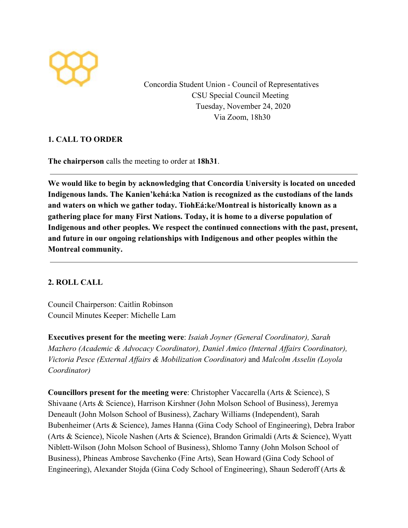

Concordia Student Union - Council of Representatives CSU Special Council Meeting Tuesday, November 24, 2020 Via Zoom, 18h30

## **1. CALL TO ORDER**

**The chairperson** calls the meeting to order at **18h31**.

**We would like to begin by acknowledging that Concordia University is located on unceded Indigenous lands. The Kanien'kehá:ka Nation is recognized as the custodians of the lands and waters on which we gather today. TiohEá:ke/Montreal is historically known as a gathering place for many First Nations. Today, it is home to a diverse population of Indigenous and other peoples. We respect the continued connections with the past, present, and future in our ongoing relationships with Indigenous and other peoples within the Montreal community.**

## **2. ROLL CALL**

Council Chairperson: Caitlin Robinson Council Minutes Keeper: Michelle Lam

**Executives present for the meeting were**: *Isaiah Joyner (General Coordinator), Sarah Mazhero (Academic & Advocacy Coordinator), Daniel Amico (Internal Affairs Coordinator), Victoria Pesce (External Affairs & Mobilization Coordinator)* and *Malcolm Asselin (Loyola Coordinator)*

**Councillors present for the meeting were**: Christopher Vaccarella (Arts & Science), S Shivaane (Arts & Science), Harrison Kirshner (John Molson School of Business), Jeremya Deneault (John Molson School of Business), Zachary Williams (Independent), Sarah Bubenheimer (Arts & Science), James Hanna (Gina Cody School of Engineering), Debra Irabor (Arts & Science), Nicole Nashen (Arts & Science), Brandon Grimaldi (Arts & Science), Wyatt Niblett-Wilson (John Molson School of Business), Shlomo Tanny (John Molson School of Business), Phineas Ambrose Savchenko (Fine Arts), Sean Howard (Gina Cody School of Engineering), Alexander Stojda (Gina Cody School of Engineering), Shaun Sederoff (Arts &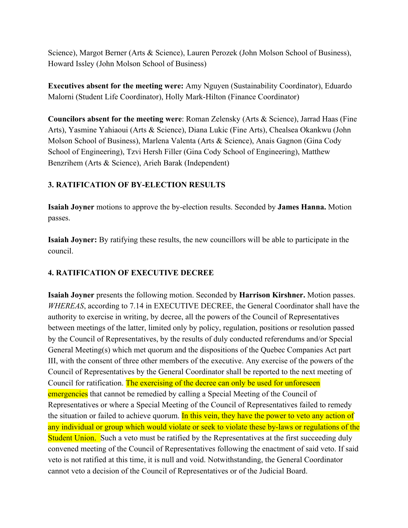Science), Margot Berner (Arts & Science), Lauren Perozek (John Molson School of Business), Howard Issley (John Molson School of Business)

**Executives absent for the meeting were:** Amy Nguyen (Sustainability Coordinator), Eduardo Malorni (Student Life Coordinator), Holly Mark-Hilton (Finance Coordinator)

**Councilors absent for the meeting were**: Roman Zelensky (Arts & Science), Jarrad Haas (Fine Arts), Yasmine Yahiaoui (Arts & Science), Diana Lukic (Fine Arts), Chealsea Okankwu (John Molson School of Business), Marlena Valenta (Arts & Science), Anais Gagnon (Gina Cody School of Engineering), Tzvi Hersh Filler (Gina Cody School of Engineering), Matthew Benzrihem (Arts & Science), Arieh Barak (Independent)

## **3. RATIFICATION OF BY-ELECTION RESULTS**

**Isaiah Joyner** motions to approve the by-election results. Seconded by **James Hanna.** Motion passes.

**Isaiah Joyner:** By ratifying these results, the new councillors will be able to participate in the council.

# **4. RATIFICATION OF EXECUTIVE DECREE**

**Isaiah Joyner** presents the following motion. Seconded by **Harrison Kirshner.** Motion passes. *WHEREAS*, according to 7.14 in EXECUTIVE DECREE, the General Coordinator shall have the authority to exercise in writing, by decree, all the powers of the Council of Representatives between meetings of the latter, limited only by policy, regulation, positions or resolution passed by the Council of Representatives, by the results of duly conducted referendums and/or Special General Meeting(s) which met quorum and the dispositions of the Quebec Companies Act part III, with the consent of three other members of the executive. Any exercise of the powers of the Council of Representatives by the General Coordinator shall be reported to the next meeting of Council for ratification. The exercising of the decree can only be used for unforeseen emergencies that cannot be remedied by calling a Special Meeting of the Council of Representatives or where a Special Meeting of the Council of Representatives failed to remedy the situation or failed to achieve quorum. In this vein, they have the power to veto any action of any individual or group which would violate or seek to violate these by-laws or regulations of the Student Union. Such a veto must be ratified by the Representatives at the first succeeding duly convened meeting of the Council of Representatives following the enactment of said veto. If said veto is not ratified at this time, it is null and void. Notwithstanding, the General Coordinator cannot veto a decision of the Council of Representatives or of the Judicial Board.